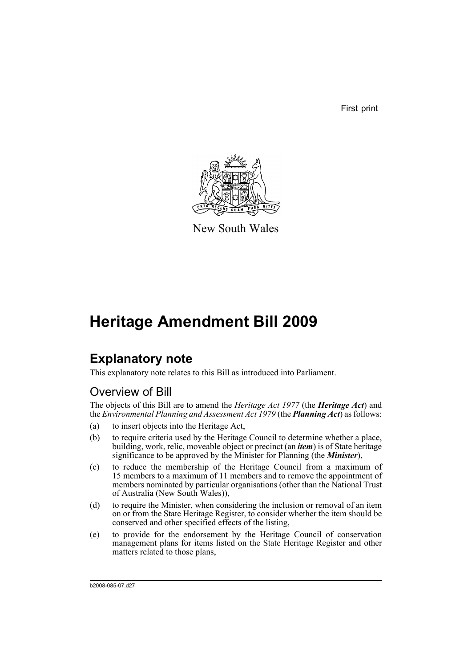First print



New South Wales

# **Heritage Amendment Bill 2009**

# **Explanatory note**

This explanatory note relates to this Bill as introduced into Parliament.

# Overview of Bill

The objects of this Bill are to amend the *Heritage Act 1977* (the *Heritage Act*) and the *Environmental Planning and Assessment Act 1979* (the *Planning Act*) as follows:

- (a) to insert objects into the Heritage Act,
- (b) to require criteria used by the Heritage Council to determine whether a place, building, work, relic, moveable object or precinct (an *item*) is of State heritage significance to be approved by the Minister for Planning (the *Minister*),
- (c) to reduce the membership of the Heritage Council from a maximum of 15 members to a maximum of 11 members and to remove the appointment of members nominated by particular organisations (other than the National Trust of Australia (New South Wales)),
- (d) to require the Minister, when considering the inclusion or removal of an item on or from the State Heritage Register, to consider whether the item should be conserved and other specified effects of the listing,
- (e) to provide for the endorsement by the Heritage Council of conservation management plans for items listed on the State Heritage Register and other matters related to those plans,

b2008-085-07.d27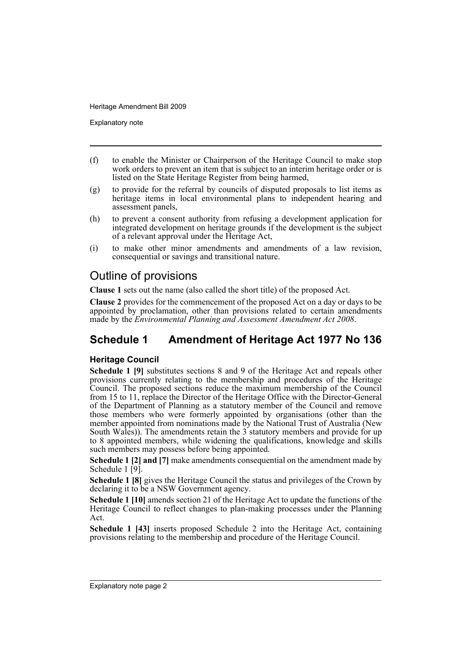Explanatory note

- (f) to enable the Minister or Chairperson of the Heritage Council to make stop work orders to prevent an item that is subject to an interim heritage order or is listed on the State Heritage Register from being harmed,
- (g) to provide for the referral by councils of disputed proposals to list items as heritage items in local environmental plans to independent hearing and assessment panels,
- (h) to prevent a consent authority from refusing a development application for integrated development on heritage grounds if the development is the subject of a relevant approval under the Heritage Act,
- (i) to make other minor amendments and amendments of a law revision, consequential or savings and transitional nature.

# Outline of provisions

**Clause 1** sets out the name (also called the short title) of the proposed Act.

**Clause 2** provides for the commencement of the proposed Act on a day or days to be appointed by proclamation, other than provisions related to certain amendments made by the *Environmental Planning and Assessment Amendment Act 2008*.

# **Schedule 1 Amendment of Heritage Act 1977 No 136**

### **Heritage Council**

**Schedule 1 [9]** substitutes sections 8 and 9 of the Heritage Act and repeals other provisions currently relating to the membership and procedures of the Heritage Council. The proposed sections reduce the maximum membership of the Council from 15 to 11, replace the Director of the Heritage Office with the Director-General of the Department of Planning as a statutory member of the Council and remove those members who were formerly appointed by organisations (other than the member appointed from nominations made by the National Trust of Australia (New South Wales)). The amendments retain the  $3$  statutory members and provide for up to 8 appointed members, while widening the qualifications, knowledge and skills such members may possess before being appointed.

**Schedule 1 [2] and [7]** make amendments consequential on the amendment made by Schedule 1 [9].

**Schedule 1 [8]** gives the Heritage Council the status and privileges of the Crown by declaring it to be a NSW Government agency.

**Schedule 1 [10]** amends section 21 of the Heritage Act to update the functions of the Heritage Council to reflect changes to plan-making processes under the Planning Act.

**Schedule 1 [43]** inserts proposed Schedule 2 into the Heritage Act, containing provisions relating to the membership and procedure of the Heritage Council.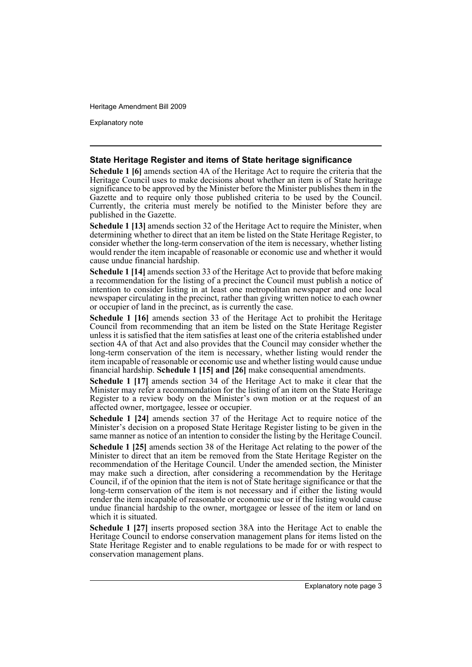Explanatory note

#### **State Heritage Register and items of State heritage significance**

**Schedule 1 [6]** amends section 4A of the Heritage Act to require the criteria that the Heritage Council uses to make decisions about whether an item is of State heritage significance to be approved by the Minister before the Minister publishes them in the Gazette and to require only those published criteria to be used by the Council. Currently, the criteria must merely be notified to the Minister before they are published in the Gazette.

**Schedule 1 [13]** amends section 32 of the Heritage Act to require the Minister, when determining whether to direct that an item be listed on the State Heritage Register, to consider whether the long-term conservation of the item is necessary, whether listing would render the item incapable of reasonable or economic use and whether it would cause undue financial hardship.

**Schedule 1 [14]** amends section 33 of the Heritage Act to provide that before making a recommendation for the listing of a precinct the Council must publish a notice of intention to consider listing in at least one metropolitan newspaper and one local newspaper circulating in the precinct, rather than giving written notice to each owner or occupier of land in the precinct, as is currently the case.

**Schedule 1 [16]** amends section 33 of the Heritage Act to prohibit the Heritage Council from recommending that an item be listed on the State Heritage Register unless it is satisfied that the item satisfies at least one of the criteria established under section 4A of that Act and also provides that the Council may consider whether the long-term conservation of the item is necessary, whether listing would render the item incapable of reasonable or economic use and whether listing would cause undue financial hardship. **Schedule 1 [15] and [26]** make consequential amendments.

**Schedule 1 [17]** amends section 34 of the Heritage Act to make it clear that the Minister may refer a recommendation for the listing of an item on the State Heritage Register to a review body on the Minister's own motion or at the request of an affected owner, mortgagee, lessee or occupier.

**Schedule 1 [24]** amends section 37 of the Heritage Act to require notice of the Minister's decision on a proposed State Heritage Register listing to be given in the same manner as notice of an intention to consider the listing by the Heritage Council.

**Schedule 1 [25]** amends section 38 of the Heritage Act relating to the power of the Minister to direct that an item be removed from the State Heritage Register on the recommendation of the Heritage Council. Under the amended section, the Minister may make such a direction, after considering a recommendation by the Heritage Council, if of the opinion that the item is not of State heritage significance or that the long-term conservation of the item is not necessary and if either the listing would render the item incapable of reasonable or economic use or if the listing would cause undue financial hardship to the owner, mortgagee or lessee of the item or land on which it is situated.

**Schedule 1 [27]** inserts proposed section 38A into the Heritage Act to enable the Heritage Council to endorse conservation management plans for items listed on the State Heritage Register and to enable regulations to be made for or with respect to conservation management plans.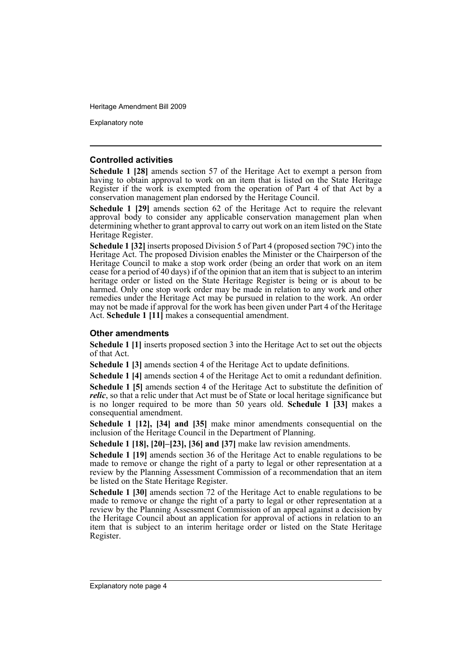Explanatory note

#### **Controlled activities**

**Schedule 1 [28]** amends section 57 of the Heritage Act to exempt a person from having to obtain approval to work on an item that is listed on the State Heritage Register if the work is exempted from the operation of Part 4 of that Act by a conservation management plan endorsed by the Heritage Council.

**Schedule 1 [29]** amends section 62 of the Heritage Act to require the relevant approval body to consider any applicable conservation management plan when determining whether to grant approval to carry out work on an item listed on the State Heritage Register.

**Schedule 1 [32]** inserts proposed Division 5 of Part 4 (proposed section 79C) into the Heritage Act. The proposed Division enables the Minister or the Chairperson of the Heritage Council to make a stop work order (being an order that work on an item cease for a period of 40 days) if of the opinion that an item that is subject to an interim heritage order or listed on the State Heritage Register is being or is about to be harmed. Only one stop work order may be made in relation to any work and other remedies under the Heritage Act may be pursued in relation to the work. An order may not be made if approval for the work has been given under Part 4 of the Heritage Act. **Schedule 1 [11]** makes a consequential amendment.

#### **Other amendments**

**Schedule 1 [1]** inserts proposed section 3 into the Heritage Act to set out the objects of that Act.

**Schedule 1 [3]** amends section 4 of the Heritage Act to update definitions.

**Schedule 1 [4]** amends section 4 of the Heritage Act to omit a redundant definition.

**Schedule 1 [5]** amends section 4 of the Heritage Act to substitute the definition of *relic*, so that a relic under that Act must be of State or local heritage significance but is no longer required to be more than 50 years old. **Schedule 1 [33]** makes a consequential amendment.

**Schedule 1 [12], [34] and [35]** make minor amendments consequential on the inclusion of the Heritage Council in the Department of Planning.

**Schedule 1 [18], [20]–[23], [36] and [37]** make law revision amendments.

**Schedule 1 [19]** amends section 36 of the Heritage Act to enable regulations to be made to remove or change the right of a party to legal or other representation at a review by the Planning Assessment Commission of a recommendation that an item be listed on the State Heritage Register.

**Schedule 1 [30]** amends section 72 of the Heritage Act to enable regulations to be made to remove or change the right of a party to legal or other representation at a review by the Planning Assessment Commission of an appeal against a decision by the Heritage Council about an application for approval of actions in relation to an item that is subject to an interim heritage order or listed on the State Heritage Register.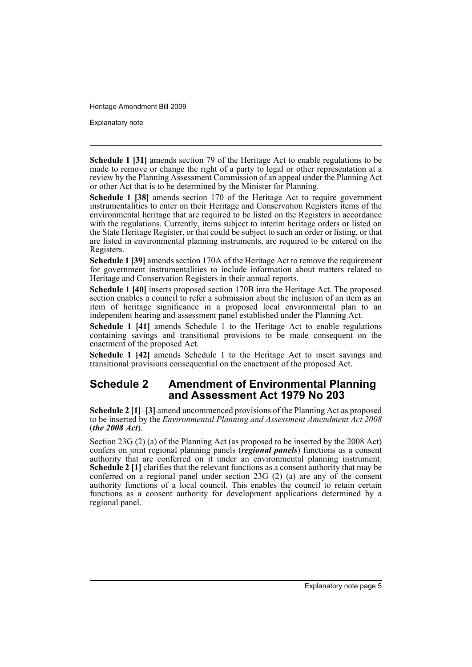Explanatory note

**Schedule 1 [31]** amends section 79 of the Heritage Act to enable regulations to be made to remove or change the right of a party to legal or other representation at a review by the Planning Assessment Commission of an appeal under the Planning Act or other Act that is to be determined by the Minister for Planning.

**Schedule 1 [38]** amends section 170 of the Heritage Act to require government instrumentalities to enter on their Heritage and Conservation Registers items of the environmental heritage that are required to be listed on the Registers in accordance with the regulations. Currently, items subject to interim heritage orders or listed on the State Heritage Register, or that could be subject to such an order or listing, or that are listed in environmental planning instruments, are required to be entered on the Registers.

**Schedule 1 [39]** amends section 170A of the Heritage Act to remove the requirement for government instrumentalities to include information about matters related to Heritage and Conservation Registers in their annual reports.

**Schedule 1 [40]** inserts proposed section 170B into the Heritage Act. The proposed section enables a council to refer a submission about the inclusion of an item as an item of heritage significance in a proposed local environmental plan to an independent hearing and assessment panel established under the Planning Act.

**Schedule 1 [41]** amends Schedule 1 to the Heritage Act to enable regulations containing savings and transitional provisions to be made consequent on the enactment of the proposed Act.

**Schedule 1 [42]** amends Schedule 1 to the Heritage Act to insert savings and transitional provisions consequential on the enactment of the proposed Act.

## **Schedule 2 Amendment of Environmental Planning and Assessment Act 1979 No 203**

**Schedule 2 [1]–[3]** amend uncommenced provisions of the Planning Act as proposed to be inserted by the *Environmental Planning and Assessment Amendment Act 2008* (*the 2008 Act*).

Section 23G (2) (a) of the Planning Act (as proposed to be inserted by the 2008 Act) confers on joint regional planning panels (*regional panels*) functions as a consent authority that are conferred on it under an environmental planning instrument. **Schedule 2 [1]** clarifies that the relevant functions as a consent authority that may be conferred on a regional panel under section 23G (2) (a) are any of the consent authority functions of a local council. This enables the council to retain certain functions as a consent authority for development applications determined by a regional panel.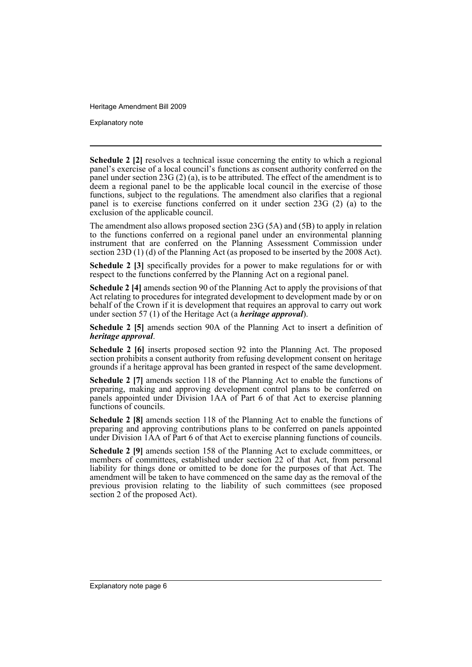Explanatory note

**Schedule 2 [2]** resolves a technical issue concerning the entity to which a regional panel's exercise of a local council's functions as consent authority conferred on the panel under section 23G (2) (a), is to be attributed. The effect of the amendment is to deem a regional panel to be the applicable local council in the exercise of those functions, subject to the regulations. The amendment also clarifies that a regional panel is to exercise functions conferred on it under section 23G (2) (a) to the exclusion of the applicable council.

The amendment also allows proposed section 23G (5A) and (5B) to apply in relation to the functions conferred on a regional panel under an environmental planning instrument that are conferred on the Planning Assessment Commission under section 23D (1) (d) of the Planning Act (as proposed to be inserted by the 2008 Act).

**Schedule 2 [3]** specifically provides for a power to make regulations for or with respect to the functions conferred by the Planning Act on a regional panel.

**Schedule 2 [4]** amends section 90 of the Planning Act to apply the provisions of that Act relating to procedures for integrated development to development made by or on behalf of the Crown if it is development that requires an approval to carry out work under section 57 (1) of the Heritage Act (a *heritage approval*).

**Schedule 2 [5]** amends section 90A of the Planning Act to insert a definition of *heritage approval*.

**Schedule 2 [6]** inserts proposed section 92 into the Planning Act. The proposed section prohibits a consent authority from refusing development consent on heritage grounds if a heritage approval has been granted in respect of the same development.

**Schedule 2 [7]** amends section 118 of the Planning Act to enable the functions of preparing, making and approving development control plans to be conferred on panels appointed under Division 1AA of Part 6 of that Act to exercise planning functions of councils.

**Schedule 2 [8]** amends section 118 of the Planning Act to enable the functions of preparing and approving contributions plans to be conferred on panels appointed under Division 1AA of Part 6 of that Act to exercise planning functions of councils.

**Schedule 2 [9]** amends section 158 of the Planning Act to exclude committees, or members of committees, established under section 22 of that Act, from personal liability for things done or omitted to be done for the purposes of that Act. The amendment will be taken to have commenced on the same day as the removal of the previous provision relating to the liability of such committees (see proposed section 2 of the proposed Act).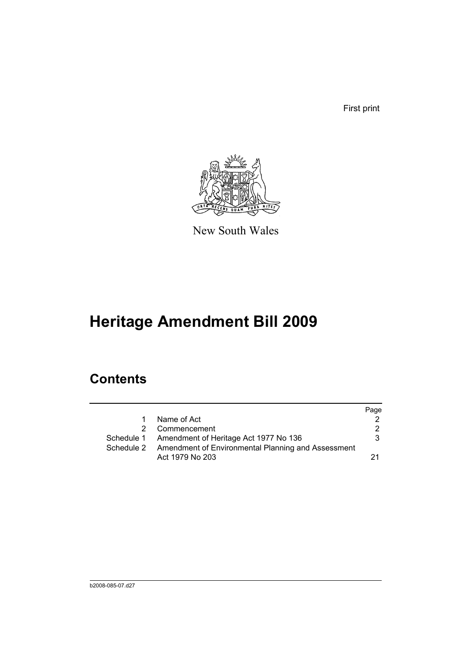First print



New South Wales

# **Heritage Amendment Bill 2009**

# **Contents**

|   |                                                               | Page |
|---|---------------------------------------------------------------|------|
| 1 | Name of Act                                                   |      |
|   | 2 Commencement                                                | 2    |
|   | Schedule 1 Amendment of Heritage Act 1977 No 136              | 3.   |
|   | Schedule 2 Amendment of Environmental Planning and Assessment |      |
|   | Act 1979 No 203                                               |      |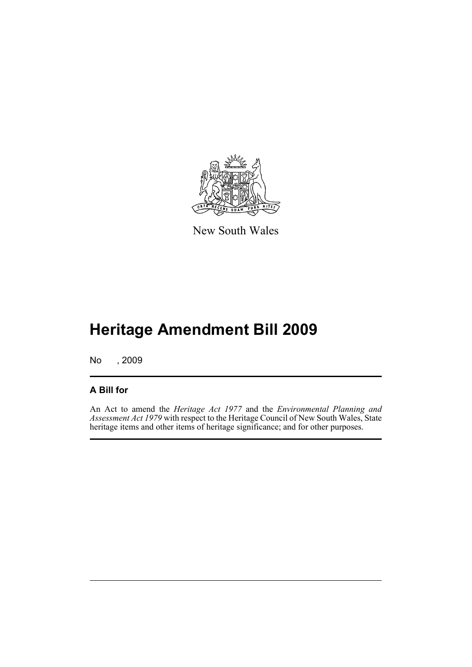

New South Wales

# **Heritage Amendment Bill 2009**

No , 2009

# **A Bill for**

An Act to amend the *Heritage Act 1977* and the *Environmental Planning and Assessment Act 1979* with respect to the Heritage Council of New South Wales, State heritage items and other items of heritage significance; and for other purposes.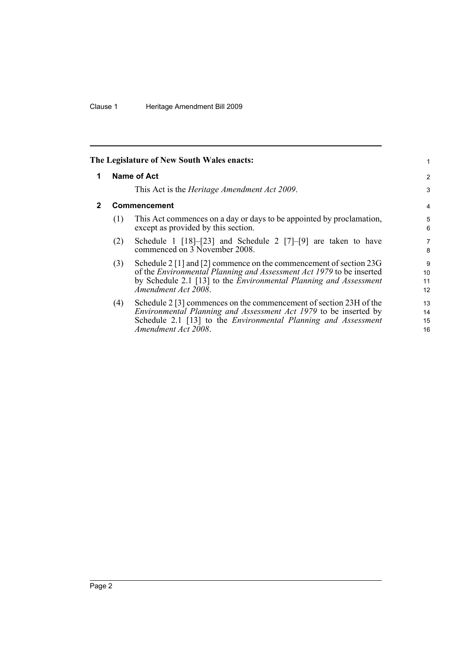<span id="page-9-1"></span><span id="page-9-0"></span>

|   |     | The Legislature of New South Wales enacts:                                                                                                                                                                                                           | 1                    |
|---|-----|------------------------------------------------------------------------------------------------------------------------------------------------------------------------------------------------------------------------------------------------------|----------------------|
| 1 |     | Name of Act                                                                                                                                                                                                                                          | 2                    |
|   |     | This Act is the <i>Heritage Amendment Act 2009</i> .                                                                                                                                                                                                 | 3                    |
| 2 |     | <b>Commencement</b>                                                                                                                                                                                                                                  | $\overline{4}$       |
|   | (1) | This Act commences on a day or days to be appointed by proclamation,<br>except as provided by this section.                                                                                                                                          | 5<br>6               |
|   | (2) | Schedule 1 $[18]$ - $[23]$ and Schedule 2 $[7]$ - $[9]$ are taken to have<br>commenced on 3 November 2008.                                                                                                                                           | 7<br>8               |
|   | (3) | Schedule 2 [1] and [2] commence on the commencement of section 23G<br>of the <i>Environmental Planning and Assessment Act 1979</i> to be inserted<br>by Schedule 2.1 [13] to the <i>Environmental Planning and Assessment</i><br>Amendment Act 2008. | 9<br>10<br>11<br>12  |
|   | (4) | Schedule 2 [3] commences on the commencement of section 23H of the<br><i>Environmental Planning and Assessment Act 1979</i> to be inserted by<br>Schedule 2.1 [13] to the <i>Environmental Planning and Assessment</i><br>Amendment Act 2008.        | 13<br>14<br>15<br>16 |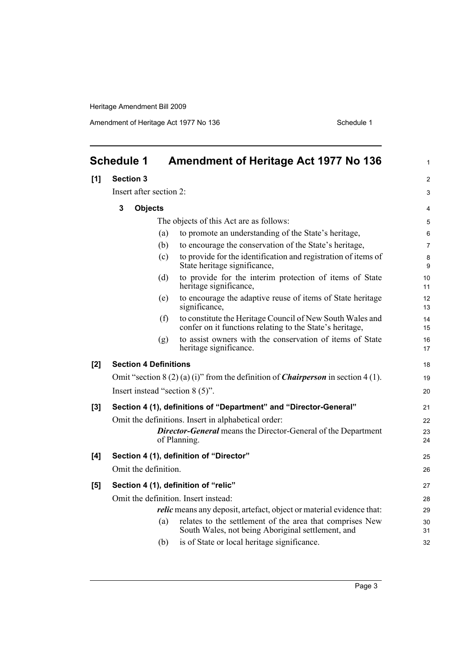Amendment of Heritage Act 1977 No 136 Schedule 1

<span id="page-10-0"></span>

|       | <b>Schedule 1</b>             |     | <b>Amendment of Heritage Act 1977 No 136</b>                                                                          | 1              |
|-------|-------------------------------|-----|-----------------------------------------------------------------------------------------------------------------------|----------------|
| [1]   | <b>Section 3</b>              |     |                                                                                                                       | $\overline{c}$ |
|       | Insert after section 2:       |     |                                                                                                                       | 3              |
|       | $\mathbf 3$<br><b>Objects</b> |     |                                                                                                                       |                |
|       |                               |     |                                                                                                                       | 4              |
|       |                               |     | The objects of this Act are as follows:                                                                               | 5              |
|       |                               | (a) | to promote an understanding of the State's heritage,                                                                  | 6              |
|       |                               | (b) | to encourage the conservation of the State's heritage,                                                                | $\overline{7}$ |
|       |                               | (c) | to provide for the identification and registration of items of<br>State heritage significance,                        | 8<br>9         |
|       |                               | (d) | to provide for the interim protection of items of State<br>heritage significance,                                     | 10<br>11       |
|       |                               | (e) | to encourage the adaptive reuse of items of State heritage<br>significance,                                           | 12<br>13       |
|       |                               | (f) | to constitute the Heritage Council of New South Wales and<br>confer on it functions relating to the State's heritage, | 14<br>15       |
|       |                               | (g) | to assist owners with the conservation of items of State<br>heritage significance.                                    | 16<br>17       |
| [2]   | <b>Section 4 Definitions</b>  |     |                                                                                                                       | 18             |
|       |                               |     | Omit "section $8(2)(a)(i)$ " from the definition of <i>Chairperson</i> in section 4(1).                               | 19             |
|       |                               |     | Insert instead "section $8(5)$ ".                                                                                     | 20             |
| $[3]$ |                               |     | Section 4 (1), definitions of "Department" and "Director-General"                                                     | 21             |
|       |                               |     | Omit the definitions. Insert in alphabetical order:                                                                   | 22             |
|       |                               |     | <b>Director-General</b> means the Director-General of the Department<br>of Planning.                                  | 23<br>24       |
| [4]   |                               |     | Section 4 (1), definition of "Director"                                                                               | 25             |
|       | Omit the definition.          |     |                                                                                                                       | 26             |
| [5]   |                               |     | Section 4 (1), definition of "relic"                                                                                  | 27             |
|       |                               |     | Omit the definition. Insert instead:                                                                                  | 28             |
|       |                               |     | <i>relic</i> means any deposit, artefact, object or material evidence that:                                           | 29             |
|       |                               | (a) | relates to the settlement of the area that comprises New<br>South Wales, not being Aboriginal settlement, and         | 30<br>31       |
|       |                               | (b) | is of State or local heritage significance.                                                                           | 32             |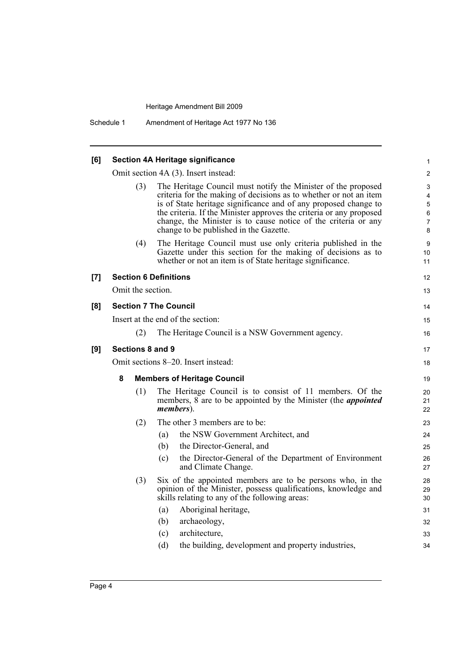| [6] | <b>Section 4A Heritage significance</b> |                                                                                                                                                                                                                                                                                                                                                                                          |                                                               |  |  |  |
|-----|-----------------------------------------|------------------------------------------------------------------------------------------------------------------------------------------------------------------------------------------------------------------------------------------------------------------------------------------------------------------------------------------------------------------------------------------|---------------------------------------------------------------|--|--|--|
|     |                                         | Omit section 4A (3). Insert instead:                                                                                                                                                                                                                                                                                                                                                     | $\overline{2}$                                                |  |  |  |
|     | (3)                                     | The Heritage Council must notify the Minister of the proposed<br>criteria for the making of decisions as to whether or not an item<br>is of State heritage significance and of any proposed change to<br>the criteria. If the Minister approves the criteria or any proposed<br>change, the Minister is to cause notice of the criteria or any<br>change to be published in the Gazette. | 3<br>$\overline{4}$<br>$\sqrt{5}$<br>6<br>$\overline{7}$<br>8 |  |  |  |
|     | (4)                                     | The Heritage Council must use only criteria published in the<br>Gazette under this section for the making of decisions as to<br>whether or not an item is of State heritage significance.                                                                                                                                                                                                | 9<br>10<br>11                                                 |  |  |  |
| [7] |                                         | <b>Section 6 Definitions</b>                                                                                                                                                                                                                                                                                                                                                             | 12                                                            |  |  |  |
|     | Omit the section.                       |                                                                                                                                                                                                                                                                                                                                                                                          | 13                                                            |  |  |  |
| [8] |                                         | <b>Section 7 The Council</b>                                                                                                                                                                                                                                                                                                                                                             | 14                                                            |  |  |  |
|     |                                         | Insert at the end of the section:                                                                                                                                                                                                                                                                                                                                                        | 15                                                            |  |  |  |
|     | (2)                                     | The Heritage Council is a NSW Government agency.                                                                                                                                                                                                                                                                                                                                         | 16                                                            |  |  |  |
| [9] | Sections 8 and 9                        |                                                                                                                                                                                                                                                                                                                                                                                          |                                                               |  |  |  |
|     |                                         | Omit sections 8–20. Insert instead:                                                                                                                                                                                                                                                                                                                                                      | 18                                                            |  |  |  |
|     | 8<br><b>Members of Heritage Council</b> |                                                                                                                                                                                                                                                                                                                                                                                          |                                                               |  |  |  |
|     | (1)                                     | The Heritage Council is to consist of 11 members. Of the<br>members, 8 are to be appointed by the Minister (the <i>appointed</i><br>members).                                                                                                                                                                                                                                            | 20<br>21<br>22                                                |  |  |  |
|     | (2)                                     | The other 3 members are to be:                                                                                                                                                                                                                                                                                                                                                           | 23                                                            |  |  |  |
|     |                                         | the NSW Government Architect, and<br>(a)                                                                                                                                                                                                                                                                                                                                                 | 24                                                            |  |  |  |
|     |                                         | the Director-General, and<br>(b)                                                                                                                                                                                                                                                                                                                                                         | 25                                                            |  |  |  |
|     |                                         | the Director-General of the Department of Environment<br>(c)<br>and Climate Change.                                                                                                                                                                                                                                                                                                      | 26<br>27                                                      |  |  |  |
|     | (3)                                     | Six of the appointed members are to be persons who, in the<br>opinion of the Minister, possess qualifications, knowledge and<br>skills relating to any of the following areas:<br>Aboriginal heritage,<br>(a)<br>archaeology,<br>(b)                                                                                                                                                     | 28<br>29<br>30<br>31<br>32                                    |  |  |  |
|     |                                         | architecture,<br>(c)                                                                                                                                                                                                                                                                                                                                                                     | 33                                                            |  |  |  |
|     |                                         | the building, development and property industries,<br>(d)                                                                                                                                                                                                                                                                                                                                | 34                                                            |  |  |  |
|     |                                         |                                                                                                                                                                                                                                                                                                                                                                                          |                                                               |  |  |  |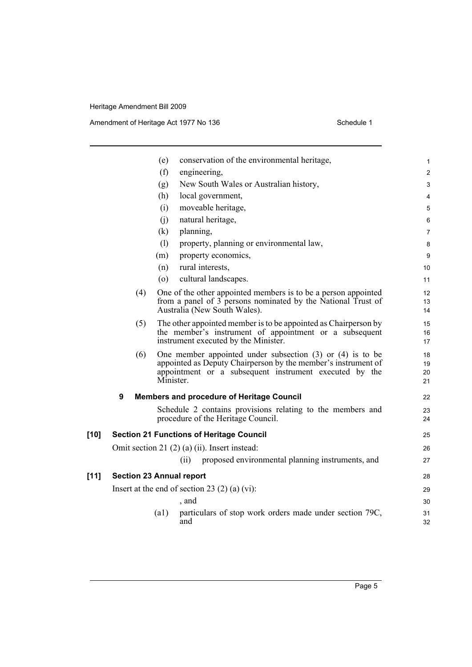Amendment of Heritage Act 1977 No 136 Schedule 1

|        |   |     | (e)       | conservation of the environmental heritage,                                                                                                                                              | 1                       |
|--------|---|-----|-----------|------------------------------------------------------------------------------------------------------------------------------------------------------------------------------------------|-------------------------|
|        |   |     | (f)       | engineering,                                                                                                                                                                             | $\overline{\mathbf{c}}$ |
|        |   |     | (g)       | New South Wales or Australian history,                                                                                                                                                   | 3                       |
|        |   |     | (h)       | local government,                                                                                                                                                                        | 4                       |
|        |   |     | (i)       | moveable heritage,                                                                                                                                                                       | 5                       |
|        |   |     | (i)       | natural heritage,                                                                                                                                                                        | 6                       |
|        |   |     | (k)       | planning,                                                                                                                                                                                | 7                       |
|        |   |     | (1)       | property, planning or environmental law,                                                                                                                                                 | 8                       |
|        |   |     | (m)       | property economics,                                                                                                                                                                      | 9                       |
|        |   |     | (n)       | rural interests,                                                                                                                                                                         | 10                      |
|        |   |     | $\circ$   | cultural landscapes.                                                                                                                                                                     | 11                      |
|        |   | (4) |           | One of the other appointed members is to be a person appointed<br>from a panel of 3 persons nominated by the National Trust of<br>Australia (New South Wales).                           | 12<br>13<br>14          |
|        |   | (5) |           | The other appointed member is to be appointed as Chairperson by<br>the member's instrument of appointment or a subsequent<br>instrument executed by the Minister.                        | 15<br>16<br>17          |
|        |   | (6) | Minister. | One member appointed under subsection $(3)$ or $(4)$ is to be<br>appointed as Deputy Chairperson by the member's instrument of<br>appointment or a subsequent instrument executed by the | 18<br>19<br>20<br>21    |
|        | 9 |     |           | <b>Members and procedure of Heritage Council</b>                                                                                                                                         | 22                      |
|        |   |     |           | Schedule 2 contains provisions relating to the members and<br>procedure of the Heritage Council.                                                                                         | 23<br>24                |
| $[10]$ |   |     |           | <b>Section 21 Functions of Heritage Council</b>                                                                                                                                          | 25                      |
|        |   |     |           | Omit section 21 (2) (a) (ii). Insert instead:                                                                                                                                            | 26                      |
|        |   |     |           | proposed environmental planning instruments, and<br>(ii)                                                                                                                                 | 27                      |
| $[11]$ |   |     |           | <b>Section 23 Annual report</b>                                                                                                                                                          | 28                      |
|        |   |     |           | Insert at the end of section 23 $(2)$ (a) $(vi)$ :                                                                                                                                       | 29                      |
|        |   |     |           | , and                                                                                                                                                                                    | 30                      |
|        |   |     | (a1)      | particulars of stop work orders made under section 79C,<br>and                                                                                                                           | 31<br>32                |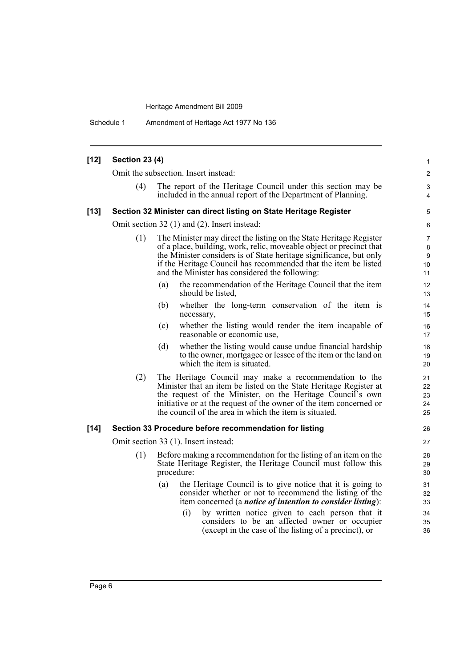Schedule 1 Amendment of Heritage Act 1977 No 136

| $[12]$ | <b>Section 23 (4)</b>                |                                                                                                                                                                                                                                                                                                                                      | 1                                                       |  |  |  |  |
|--------|--------------------------------------|--------------------------------------------------------------------------------------------------------------------------------------------------------------------------------------------------------------------------------------------------------------------------------------------------------------------------------------|---------------------------------------------------------|--|--|--|--|
|        | Omit the subsection. Insert instead: |                                                                                                                                                                                                                                                                                                                                      |                                                         |  |  |  |  |
|        | (4)                                  | The report of the Heritage Council under this section may be<br>included in the annual report of the Department of Planning.                                                                                                                                                                                                         | 3<br>4                                                  |  |  |  |  |
| $[13]$ |                                      | Section 32 Minister can direct listing on State Heritage Register                                                                                                                                                                                                                                                                    | 5                                                       |  |  |  |  |
|        |                                      | Omit section 32 (1) and (2). Insert instead:                                                                                                                                                                                                                                                                                         | 6                                                       |  |  |  |  |
|        | (1)                                  | The Minister may direct the listing on the State Heritage Register<br>of a place, building, work, relic, moveable object or precinct that<br>the Minister considers is of State heritage significance, but only<br>if the Heritage Council has recommended that the item be listed<br>and the Minister has considered the following: | $\overline{7}$<br>$\bf 8$<br>9<br>10 <sup>1</sup><br>11 |  |  |  |  |
|        |                                      | the recommendation of the Heritage Council that the item<br>(a)<br>should be listed,                                                                                                                                                                                                                                                 | $12 \overline{ }$<br>13                                 |  |  |  |  |
|        |                                      | (b)<br>whether the long-term conservation of the item is<br>necessary,                                                                                                                                                                                                                                                               | 14<br>15                                                |  |  |  |  |
|        |                                      | whether the listing would render the item incapable of<br>(c)<br>reasonable or economic use,                                                                                                                                                                                                                                         | 16<br>17                                                |  |  |  |  |
|        |                                      | whether the listing would cause undue financial hardship<br>(d)<br>to the owner, mortgagee or lessee of the item or the land on<br>which the item is situated.                                                                                                                                                                       | 18<br>19<br>20                                          |  |  |  |  |
|        | (2)                                  | The Heritage Council may make a recommendation to the<br>Minister that an item be listed on the State Heritage Register at<br>the request of the Minister, on the Heritage Council's own<br>initiative or at the request of the owner of the item concerned or<br>the council of the area in which the item is situated.             | 21<br>22<br>23<br>24<br>25                              |  |  |  |  |
| $[14]$ |                                      | Section 33 Procedure before recommendation for listing                                                                                                                                                                                                                                                                               | 26                                                      |  |  |  |  |
|        |                                      | Omit section 33 (1). Insert instead:                                                                                                                                                                                                                                                                                                 | 27                                                      |  |  |  |  |
|        | (1)                                  | Before making a recommendation for the listing of an item on the<br>State Heritage Register, the Heritage Council must follow this<br>procedure:                                                                                                                                                                                     | 28<br>29<br>30                                          |  |  |  |  |
|        |                                      | the Heritage Council is to give notice that it is going to<br>(a)<br>consider whether or not to recommend the listing of the<br>item concerned (a <i>notice of intention to consider listing</i> ):                                                                                                                                  | 31<br>32<br>33                                          |  |  |  |  |
|        |                                      | by written notice given to each person that it<br>(i)<br>considers to be an affected owner or occupier<br>(except in the case of the listing of a precinct), or                                                                                                                                                                      | 34<br>35<br>36                                          |  |  |  |  |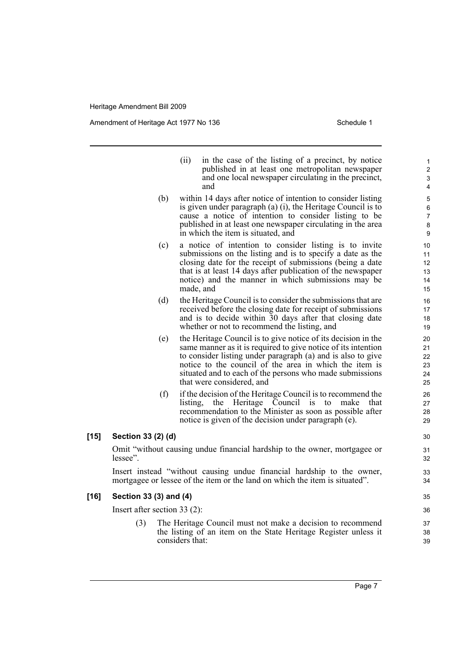Amendment of Heritage Act 1977 No 136 Schedule 1

|        |                    | in the case of the listing of a precinct, by notice<br>(ii)<br>published in at least one metropolitan newspaper<br>and one local newspaper circulating in the precinct,<br>and                                                                                                                                                                   |
|--------|--------------------|--------------------------------------------------------------------------------------------------------------------------------------------------------------------------------------------------------------------------------------------------------------------------------------------------------------------------------------------------|
|        | (b)                | within 14 days after notice of intention to consider listing<br>is given under paragraph $(a)$ $(i)$ , the Heritage Council is to<br>cause a notice of intention to consider listing to be<br>published in at least one newspaper circulating in the area<br>in which the item is situated, and                                                  |
|        | (c)                | a notice of intention to consider listing is to invite<br>submissions on the listing and is to specify a date as the<br>closing date for the receipt of submissions (being a date<br>that is at least 14 days after publication of the newspaper<br>notice) and the manner in which submissions may be<br>made, and                              |
|        | (d)                | the Heritage Council is to consider the submissions that are<br>received before the closing date for receipt of submissions<br>and is to decide within 30 days after that closing date<br>whether or not to recommend the listing, and                                                                                                           |
|        | (e)                | the Heritage Council is to give notice of its decision in the<br>same manner as it is required to give notice of its intention<br>to consider listing under paragraph (a) and is also to give<br>notice to the council of the area in which the item is<br>situated and to each of the persons who made submissions<br>that were considered, and |
|        | (f)                | if the decision of the Heritage Council is to recommend the<br>listing,<br>the Heritage Council<br>is<br>to<br>make<br>that<br>recommendation to the Minister as soon as possible after<br>notice is given of the decision under paragraph (e).                                                                                                  |
| $[15]$ | Section 33 (2) (d) |                                                                                                                                                                                                                                                                                                                                                  |
|        | lessee".           | Omit "without causing undue financial hardship to the owner, mortgagee or                                                                                                                                                                                                                                                                        |
|        |                    | Insert instead "without causing undue financial hardship to the owner,                                                                                                                                                                                                                                                                           |

mortgagee or lessee of the item or the land on which the item is situated".

#### **[16] Section 33 (3) and (4)**

Insert after section 33 (2):

- (3) The Heritage Council must not make a decision to recommend the listing of an item on the State Heritage Register unless it considers that:
	- Page 7

35 36

37 38 39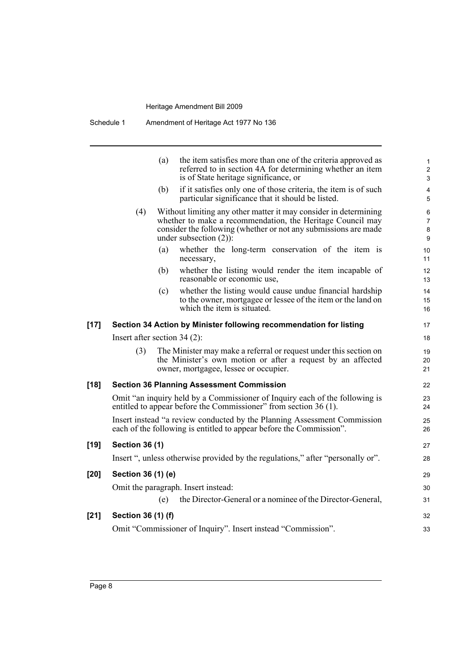Schedule 1 Amendment of Heritage Act 1977 No 136

|        |                                | (a) | the item satisfies more than one of the criteria approved as<br>referred to in section 4A for determining whether an item<br>is of State heritage significance, or                                                             | $\mathbf{1}$<br>$\overline{c}$<br>3 |
|--------|--------------------------------|-----|--------------------------------------------------------------------------------------------------------------------------------------------------------------------------------------------------------------------------------|-------------------------------------|
|        |                                | (b) | if it satisfies only one of those criteria, the item is of such<br>particular significance that it should be listed.                                                                                                           | $\overline{\mathbf{4}}$<br>5        |
|        | (4)                            |     | Without limiting any other matter it may consider in determining<br>whether to make a recommendation, the Heritage Council may<br>consider the following (whether or not any submissions are made<br>under subsection $(2)$ ). | 6<br>7<br>8<br>9                    |
|        |                                | (a) | whether the long-term conservation of the item is<br>necessary,                                                                                                                                                                | 10<br>11                            |
|        |                                | (b) | whether the listing would render the item incapable of<br>reasonable or economic use,                                                                                                                                          | 12<br>13                            |
|        |                                | (c) | whether the listing would cause undue financial hardship<br>to the owner, mortgagee or lessee of the item or the land on<br>which the item is situated.                                                                        | 14<br>15<br>16                      |
| $[17]$ |                                |     | Section 34 Action by Minister following recommendation for listing                                                                                                                                                             | 17                                  |
|        | Insert after section $34(2)$ : |     |                                                                                                                                                                                                                                | 18                                  |
|        | (3)                            |     | The Minister may make a referral or request under this section on<br>the Minister's own motion or after a request by an affected<br>owner, mortgagee, lessee or occupier.                                                      | 19<br>20<br>21                      |
| $[18]$ |                                |     | <b>Section 36 Planning Assessment Commission</b>                                                                                                                                                                               | 22                                  |
|        |                                |     | Omit "an inquiry held by a Commissioner of Inquiry each of the following is<br>entitled to appear before the Commissioner" from section 36 (1).                                                                                | 23<br>24                            |
|        |                                |     | Insert instead "a review conducted by the Planning Assessment Commission<br>each of the following is entitled to appear before the Commission".                                                                                | 25<br>26                            |
| $[19]$ | <b>Section 36 (1)</b>          |     |                                                                                                                                                                                                                                | 27                                  |
|        |                                |     | Insert ", unless otherwise provided by the regulations," after "personally or".                                                                                                                                                | 28                                  |
| $[20]$ | Section 36 (1) (e)             |     |                                                                                                                                                                                                                                | 29                                  |
|        |                                |     | Omit the paragraph. Insert instead:                                                                                                                                                                                            | 30                                  |
|        |                                | (e) | the Director-General or a nominee of the Director-General,                                                                                                                                                                     | 31                                  |
| $[21]$ | Section 36 (1) (f)             |     |                                                                                                                                                                                                                                | 32                                  |
|        |                                |     | Omit "Commissioner of Inquiry". Insert instead "Commission".                                                                                                                                                                   | 33                                  |
|        |                                |     |                                                                                                                                                                                                                                |                                     |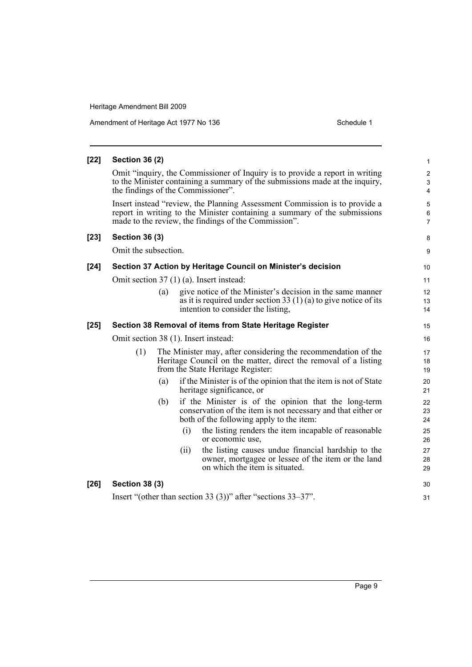| Amendment of Heritage Act 1977 No 136 |  |
|---------------------------------------|--|
|---------------------------------------|--|

Schedule 1

| $[22]$ | <b>Section 36 (2)</b> |                                                                                                                                                                                                                 | $\mathbf{1}$                                                       |
|--------|-----------------------|-----------------------------------------------------------------------------------------------------------------------------------------------------------------------------------------------------------------|--------------------------------------------------------------------|
|        |                       | Omit "inquiry, the Commissioner of Inquiry is to provide a report in writing<br>to the Minister containing a summary of the submissions made at the inquiry,<br>the findings of the Commissioner".              | $\sqrt{2}$<br>$\ensuremath{\mathsf{3}}$<br>$\overline{\mathbf{4}}$ |
|        |                       | Insert instead "review, the Planning Assessment Commission is to provide a<br>report in writing to the Minister containing a summary of the submissions<br>made to the review, the findings of the Commission". | 5<br>$\,6$<br>$\overline{7}$                                       |
| $[23]$ | <b>Section 36 (3)</b> |                                                                                                                                                                                                                 | 8                                                                  |
|        | Omit the subsection.  |                                                                                                                                                                                                                 | 9                                                                  |
| $[24]$ |                       | Section 37 Action by Heritage Council on Minister's decision                                                                                                                                                    | 10                                                                 |
|        |                       | Omit section 37 (1) (a). Insert instead:                                                                                                                                                                        | 11                                                                 |
|        |                       | (a)<br>give notice of the Minister's decision in the same manner<br>as it is required under section 33 $(1)$ (a) to give notice of its<br>intention to consider the listing,                                    | 12<br>13<br>14                                                     |
| $[25]$ |                       | Section 38 Removal of items from State Heritage Register                                                                                                                                                        | 15                                                                 |
|        |                       | Omit section 38 (1). Insert instead:                                                                                                                                                                            | 16                                                                 |
|        | (1)                   | The Minister may, after considering the recommendation of the<br>Heritage Council on the matter, direct the removal of a listing<br>from the State Heritage Register:                                           | 17<br>18<br>19                                                     |
|        |                       | if the Minister is of the opinion that the item is not of State<br>(a)<br>heritage significance, or                                                                                                             | 20<br>21                                                           |
|        |                       | if the Minister is of the opinion that the long-term<br>(b)<br>conservation of the item is not necessary and that either or<br>both of the following apply to the item:                                         | 22<br>23<br>24                                                     |
|        |                       | the listing renders the item incapable of reasonable<br>(i)<br>or economic use,                                                                                                                                 | 25<br>26                                                           |
|        |                       | the listing causes undue financial hardship to the<br>(ii)<br>owner, mortgagee or lessee of the item or the land<br>on which the item is situated.                                                              | 27<br>28<br>29                                                     |
| $[26]$ | <b>Section 38 (3)</b> |                                                                                                                                                                                                                 | 30                                                                 |
|        |                       | Insert "(other than section 33 (3))" after "sections $33-37$ ".                                                                                                                                                 | 31                                                                 |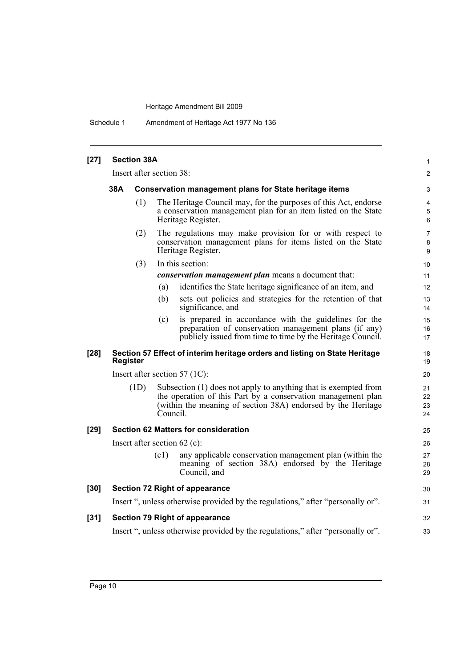Schedule 1 Amendment of Heritage Act 1977 No 136

| $[27]$ | <b>Section 38A</b>                                                   |                          |                                                                                                                                                         |                                                                                                                                                                                                 |                          |  |
|--------|----------------------------------------------------------------------|--------------------------|---------------------------------------------------------------------------------------------------------------------------------------------------------|-------------------------------------------------------------------------------------------------------------------------------------------------------------------------------------------------|--------------------------|--|
|        |                                                                      | Insert after section 38: |                                                                                                                                                         |                                                                                                                                                                                                 | $\overline{2}$           |  |
|        | 38A<br><b>Conservation management plans for State heritage items</b> |                          |                                                                                                                                                         |                                                                                                                                                                                                 |                          |  |
|        |                                                                      | (1)                      | The Heritage Council may, for the purposes of this Act, endorse<br>a conservation management plan for an item listed on the State<br>Heritage Register. |                                                                                                                                                                                                 |                          |  |
|        |                                                                      | (2)                      |                                                                                                                                                         | The regulations may make provision for or with respect to<br>conservation management plans for items listed on the State<br>Heritage Register.                                                  | $\overline{7}$<br>8<br>9 |  |
|        |                                                                      | (3)                      |                                                                                                                                                         | In this section:                                                                                                                                                                                | 10                       |  |
|        |                                                                      |                          |                                                                                                                                                         | conservation management plan means a document that:                                                                                                                                             | 11                       |  |
|        |                                                                      |                          | (a)                                                                                                                                                     | identifies the State heritage significance of an item, and                                                                                                                                      | 12                       |  |
|        |                                                                      |                          | (b)                                                                                                                                                     | sets out policies and strategies for the retention of that<br>significance, and                                                                                                                 | 13<br>14                 |  |
|        |                                                                      |                          | (c)                                                                                                                                                     | is prepared in accordance with the guidelines for the<br>preparation of conservation management plans (if any)<br>publicly issued from time to time by the Heritage Council.                    | 15<br>16<br>17           |  |
| $[28]$ | <b>Register</b>                                                      |                          |                                                                                                                                                         | Section 57 Effect of interim heritage orders and listing on State Heritage                                                                                                                      | 18<br>19                 |  |
|        |                                                                      |                          |                                                                                                                                                         | Insert after section 57 (1C):                                                                                                                                                                   | 20                       |  |
|        |                                                                      | (1D)                     | Council.                                                                                                                                                | Subsection (1) does not apply to anything that is exempted from<br>the operation of this Part by a conservation management plan<br>(within the meaning of section 38A) endorsed by the Heritage | 21<br>22<br>23<br>24     |  |
| $[29]$ |                                                                      |                          |                                                                                                                                                         | <b>Section 62 Matters for consideration</b>                                                                                                                                                     | 25                       |  |
|        |                                                                      |                          |                                                                                                                                                         | Insert after section $62$ (c):                                                                                                                                                                  | 26                       |  |
|        |                                                                      |                          | (c1)                                                                                                                                                    | any applicable conservation management plan (within the<br>meaning of section 38A) endorsed by the Heritage<br>Council, and                                                                     | 27<br>28<br>29           |  |
| $[30]$ |                                                                      |                          |                                                                                                                                                         | <b>Section 72 Right of appearance</b>                                                                                                                                                           | 30                       |  |
|        |                                                                      |                          |                                                                                                                                                         | Insert ", unless otherwise provided by the regulations," after "personally or".                                                                                                                 | 31                       |  |
| $[31]$ |                                                                      |                          |                                                                                                                                                         | <b>Section 79 Right of appearance</b>                                                                                                                                                           | 32                       |  |
|        |                                                                      |                          |                                                                                                                                                         | Insert ", unless otherwise provided by the regulations," after "personally or".                                                                                                                 | 33                       |  |
|        |                                                                      |                          |                                                                                                                                                         |                                                                                                                                                                                                 |                          |  |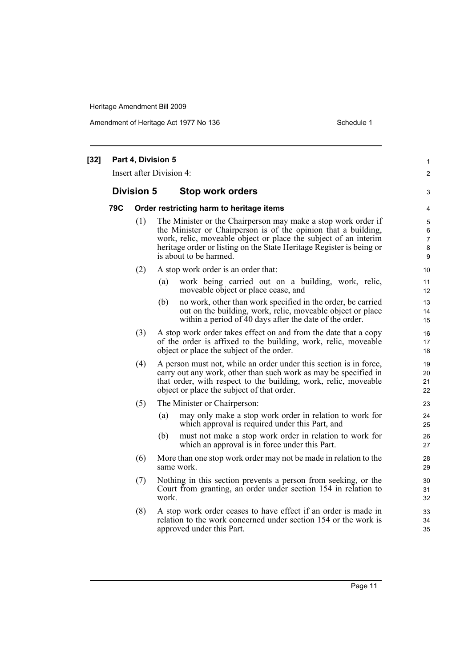Amendment of Heritage Act 1977 No 136 Schedule 1

| $[32]$ | Part 4, Division 5<br>Insert after Division 4: |                   |       |                                                                                                                                                                                                                                                                                                      |                                          |
|--------|------------------------------------------------|-------------------|-------|------------------------------------------------------------------------------------------------------------------------------------------------------------------------------------------------------------------------------------------------------------------------------------------------------|------------------------------------------|
|        |                                                | <b>Division 5</b> |       | Stop work orders                                                                                                                                                                                                                                                                                     | 3                                        |
|        | 79C                                            |                   |       | Order restricting harm to heritage items                                                                                                                                                                                                                                                             | 4                                        |
|        |                                                | (1)               |       | The Minister or the Chairperson may make a stop work order if<br>the Minister or Chairperson is of the opinion that a building,<br>work, relic, moveable object or place the subject of an interim<br>heritage order or listing on the State Heritage Register is being or<br>is about to be harmed. | 5<br>6<br>$\overline{7}$<br>$\bf 8$<br>9 |
|        |                                                | (2)               |       | A stop work order is an order that:                                                                                                                                                                                                                                                                  | 10                                       |
|        |                                                |                   | (a)   | work being carried out on a building, work, relic,<br>moveable object or place cease, and                                                                                                                                                                                                            | 11<br>12                                 |
|        |                                                |                   | (b)   | no work, other than work specified in the order, be carried<br>out on the building, work, relic, moveable object or place<br>within a period of 40 days after the date of the order.                                                                                                                 | 13<br>14<br>15                           |
|        |                                                | (3)               |       | A stop work order takes effect on and from the date that a copy<br>of the order is affixed to the building, work, relic, moveable<br>object or place the subject of the order.                                                                                                                       | 16<br>17<br>18                           |
|        |                                                | (4)               |       | A person must not, while an order under this section is in force,<br>carry out any work, other than such work as may be specified in<br>that order, with respect to the building, work, relic, moveable<br>object or place the subject of that order.                                                | 19<br>20<br>21<br>22                     |
|        |                                                | (5)               |       | The Minister or Chairperson:                                                                                                                                                                                                                                                                         | 23                                       |
|        |                                                |                   | (a)   | may only make a stop work order in relation to work for<br>which approval is required under this Part, and                                                                                                                                                                                           | 24<br>25                                 |
|        |                                                |                   | (b)   | must not make a stop work order in relation to work for<br>which an approval is in force under this Part.                                                                                                                                                                                            | 26<br>27                                 |
|        |                                                | (6)               |       | More than one stop work order may not be made in relation to the<br>same work.                                                                                                                                                                                                                       | 28<br>29                                 |
|        |                                                | (7)               | work. | Nothing in this section prevents a person from seeking, or the<br>Court from granting, an order under section 154 in relation to                                                                                                                                                                     | 30<br>31<br>32                           |
|        |                                                | (8)               |       | A stop work order ceases to have effect if an order is made in<br>relation to the work concerned under section 154 or the work is<br>approved under this Part.                                                                                                                                       | 33<br>34<br>35                           |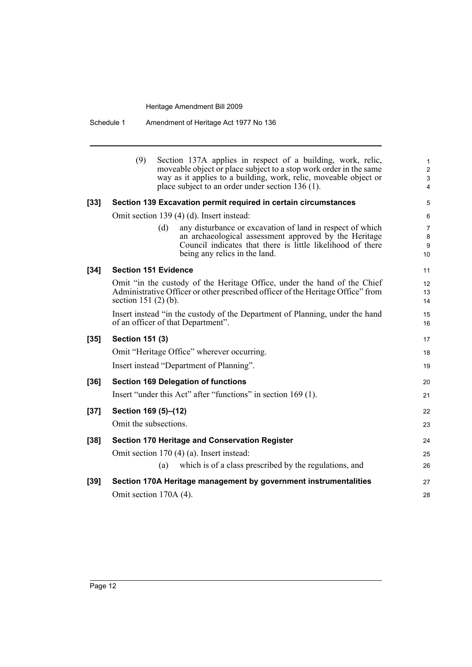Schedule 1 Amendment of Heritage Act 1977 No 136

|        | (9)<br>Section 137A applies in respect of a building, work, relic,<br>moveable object or place subject to a stop work order in the same<br>way as it applies to a building, work, relic, moveable object or<br>place subject to an order under section 136 (1). |
|--------|-----------------------------------------------------------------------------------------------------------------------------------------------------------------------------------------------------------------------------------------------------------------|
| $[33]$ | Section 139 Excavation permit required in certain circumstances                                                                                                                                                                                                 |
|        | Omit section 139 (4) (d). Insert instead:                                                                                                                                                                                                                       |
|        | (d)<br>any disturbance or excavation of land in respect of which<br>an archaeological assessment approved by the Heritage<br>Council indicates that there is little likelihood of there<br>being any relics in the land.                                        |
| $[34]$ | <b>Section 151 Evidence</b>                                                                                                                                                                                                                                     |
|        | Omit "in the custody of the Heritage Office, under the hand of the Chief<br>Administrative Officer or other prescribed officer of the Heritage Office" from<br>section 151 $(2)$ $(b)$ .                                                                        |
|        | Insert instead "in the custody of the Department of Planning, under the hand<br>of an officer of that Department".                                                                                                                                              |
| $[35]$ | <b>Section 151 (3)</b>                                                                                                                                                                                                                                          |
|        | Omit "Heritage Office" wherever occurring.                                                                                                                                                                                                                      |
|        | Insert instead "Department of Planning".                                                                                                                                                                                                                        |
| $[36]$ | <b>Section 169 Delegation of functions</b>                                                                                                                                                                                                                      |
|        | Insert "under this Act" after "functions" in section 169 (1).                                                                                                                                                                                                   |
| $[37]$ | Section 169 (5)-(12)                                                                                                                                                                                                                                            |
|        | Omit the subsections.                                                                                                                                                                                                                                           |
| $[38]$ | <b>Section 170 Heritage and Conservation Register</b>                                                                                                                                                                                                           |
|        | Omit section 170 (4) (a). Insert instead:                                                                                                                                                                                                                       |
|        | which is of a class prescribed by the regulations, and<br>(a)                                                                                                                                                                                                   |
| $[39]$ | Section 170A Heritage management by government instrumentalities                                                                                                                                                                                                |
|        | Omit section 170A (4).                                                                                                                                                                                                                                          |
|        |                                                                                                                                                                                                                                                                 |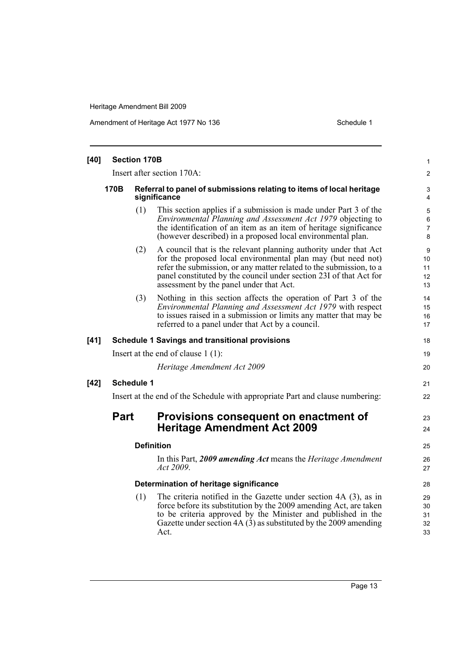Amendment of Heritage Act 1977 No 136 Schedule 1

| $[40]$ | <b>Section 170B</b>                                                           |                                                                                      |                                                                                                                                                                                                                                                                                                                          |                                           |  |
|--------|-------------------------------------------------------------------------------|--------------------------------------------------------------------------------------|--------------------------------------------------------------------------------------------------------------------------------------------------------------------------------------------------------------------------------------------------------------------------------------------------------------------------|-------------------------------------------|--|
|        | Insert after section 170A:                                                    |                                                                                      |                                                                                                                                                                                                                                                                                                                          |                                           |  |
|        | 170B                                                                          | Referral to panel of submissions relating to items of local heritage<br>significance |                                                                                                                                                                                                                                                                                                                          |                                           |  |
|        |                                                                               | (1)                                                                                  | This section applies if a submission is made under Part 3 of the<br><i>Environmental Planning and Assessment Act 1979</i> objecting to<br>the identification of an item as an item of heritage significance<br>(however described) in a proposed local environmental plan.                                               | 5<br>$\,6\,$<br>$\overline{7}$<br>$\bf 8$ |  |
|        |                                                                               | (2)                                                                                  | A council that is the relevant planning authority under that Act<br>for the proposed local environmental plan may (but need not)<br>refer the submission, or any matter related to the submission, to a<br>panel constituted by the council under section 23I of that Act for<br>assessment by the panel under that Act. | 9<br>10<br>11<br>12<br>13                 |  |
|        |                                                                               | (3)                                                                                  | Nothing in this section affects the operation of Part 3 of the<br>Environmental Planning and Assessment Act 1979 with respect<br>to issues raised in a submission or limits any matter that may be<br>referred to a panel under that Act by a council.                                                                   | 14<br>15<br>16<br>17                      |  |
| $[41]$ |                                                                               |                                                                                      | <b>Schedule 1 Savings and transitional provisions</b>                                                                                                                                                                                                                                                                    | 18                                        |  |
|        | Insert at the end of clause $1(1)$ :                                          |                                                                                      |                                                                                                                                                                                                                                                                                                                          |                                           |  |
|        |                                                                               |                                                                                      | Heritage Amendment Act 2009                                                                                                                                                                                                                                                                                              | 20                                        |  |
| $[42]$ |                                                                               | <b>Schedule 1</b>                                                                    |                                                                                                                                                                                                                                                                                                                          | 21                                        |  |
|        | Insert at the end of the Schedule with appropriate Part and clause numbering: |                                                                                      |                                                                                                                                                                                                                                                                                                                          |                                           |  |
|        | <b>Part</b>                                                                   |                                                                                      | Provisions consequent on enactment of<br><b>Heritage Amendment Act 2009</b>                                                                                                                                                                                                                                              | 23<br>24                                  |  |
|        |                                                                               |                                                                                      | <b>Definition</b>                                                                                                                                                                                                                                                                                                        | 25                                        |  |
|        |                                                                               |                                                                                      | In this Part, 2009 amending Act means the Heritage Amendment<br>Act 2009.                                                                                                                                                                                                                                                | 26<br>27                                  |  |
|        |                                                                               |                                                                                      | Determination of heritage significance                                                                                                                                                                                                                                                                                   | 28                                        |  |
|        |                                                                               | (1)                                                                                  | The criteria notified in the Gazette under section 4A (3), as in<br>force before its substitution by the 2009 amending Act, are taken<br>to be criteria approved by the Minister and published in the<br>Gazette under section $4A(3)$ as substituted by the 2009 amending<br>Act.                                       | 29<br>30<br>31<br>32<br>33                |  |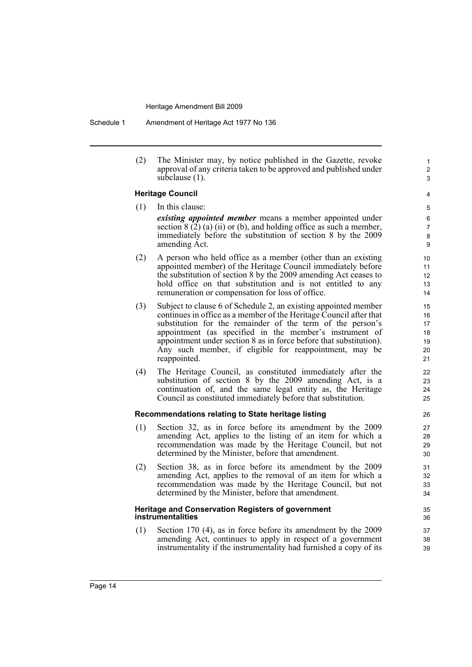Schedule 1 Amendment of Heritage Act 1977 No 136

(2) The Minister may, by notice published in the Gazette, revoke approval of any criteria taken to be approved and published under subclause (1).

### **Heritage Council** (1) In this clause:

4

1 2 3

5

- *existing appointed member* means a member appointed under section  $8(\overline{2})$  (a) (ii) or (b), and holding office as such a member, immediately before the substitution of section 8 by the 2009 amending Act.
- (2) A person who held office as a member (other than an existing appointed member) of the Heritage Council immediately before the substitution of section 8 by the 2009 amending Act ceases to hold office on that substitution and is not entitled to any remuneration or compensation for loss of office.
- (3) Subject to clause 6 of Schedule 2, an existing appointed member continues in office as a member of the Heritage Council after that substitution for the remainder of the term of the person's appointment (as specified in the member's instrument of appointment under section 8 as in force before that substitution). Any such member, if eligible for reappointment, may be reappointed.
- (4) The Heritage Council, as constituted immediately after the substitution of section 8 by the 2009 amending Act, is a continuation of, and the same legal entity as, the Heritage Council as constituted immediately before that substitution.

#### **Recommendations relating to State heritage listing**

- (1) Section 32, as in force before its amendment by the 2009 amending Act, applies to the listing of an item for which a recommendation was made by the Heritage Council, but not determined by the Minister, before that amendment.
- (2) Section 38, as in force before its amendment by the 2009 amending Act, applies to the removal of an item for which a recommendation was made by the Heritage Council, but not determined by the Minister, before that amendment.

#### **Heritage and Conservation Registers of government instrumentalities**

(1) Section 170 (4), as in force before its amendment by the 2009 amending Act, continues to apply in respect of a government instrumentality if the instrumentality had furnished a copy of its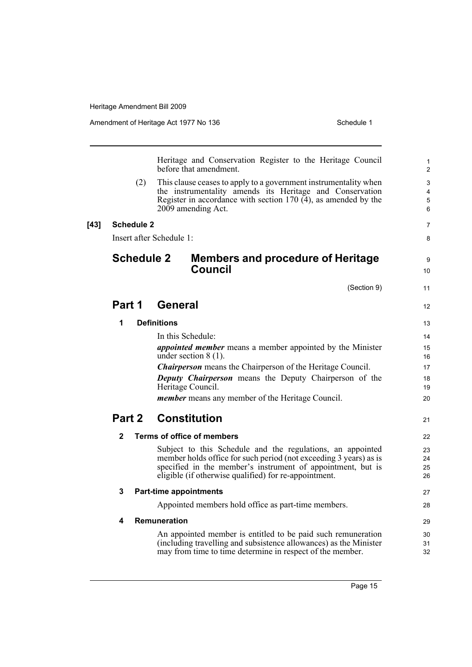9 10

11

12

28

Heritage and Conservation Register to the Heritage Council before that amendment.

(2) This clause ceases to apply to a government instrumentality when the instrumentality amends its Heritage and Conservation Register in accordance with section 170  $\overline{(4)}$ , as amended by the 2009 amending Act.

### **[43] Schedule 2**

Insert after Schedule 1:

## **Schedule 2 Members and procedure of Heritage Council**

(Section 9)

## **Part 1 General**

| 1                                                                                          |                            | <b>Definitions</b>                                                                                                   | 13       |  |
|--------------------------------------------------------------------------------------------|----------------------------|----------------------------------------------------------------------------------------------------------------------|----------|--|
|                                                                                            |                            | In this Schedule:                                                                                                    | 14       |  |
| <i>appointed member</i> means a member appointed by the Minister<br>under section $8(1)$ . |                            |                                                                                                                      |          |  |
| <b>Chairperson</b> means the Chairperson of the Heritage Council.                          |                            |                                                                                                                      |          |  |
|                                                                                            |                            | <b>Deputy Chairperson</b> means the Deputy Chairperson of the<br>Heritage Council.                                   | 18<br>19 |  |
|                                                                                            |                            | <i>member</i> means any member of the Heritage Council.                                                              | 20       |  |
| Constitution<br>Part 2                                                                     |                            |                                                                                                                      | 21       |  |
| $\mathbf{2}$                                                                               | Terms of office of members |                                                                                                                      | 22       |  |
|                                                                                            |                            | Subject to this Schedule and the regulations, an appointed                                                           | 23       |  |
|                                                                                            |                            | member holds office for such period (not exceeding 3 years) as is                                                    | 24       |  |
|                                                                                            |                            | specified in the member's instrument of appointment, but is<br>eligible (if otherwise qualified) for re-appointment. | 25<br>26 |  |
| 3                                                                                          |                            | <b>Part-time appointments</b>                                                                                        | 27       |  |

#### **3 Part-time appointments**

Appointed members hold office as part-time members.

### **4 Remuneration**

An appointed member is entitled to be paid such remuneration (including travelling and subsistence allowances) as the Minister may from time to time determine in respect of the member.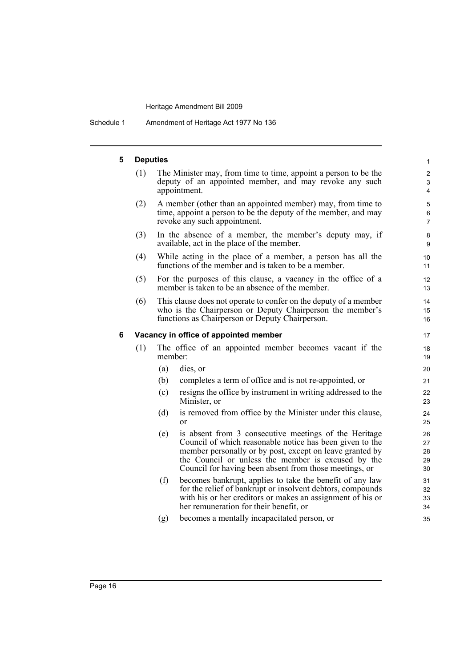Schedule 1 Amendment of Heritage Act 1977 No 136

#### **5 Deputies** (1) The Minister may, from time to time, appoint a person to be the deputy of an appointed member, and may revoke any such appointment. (2) A member (other than an appointed member) may, from time to time, appoint a person to be the deputy of the member, and may revoke any such appointment. (3) In the absence of a member, the member's deputy may, if available, act in the place of the member. (4) While acting in the place of a member, a person has all the functions of the member and is taken to be a member. (5) For the purposes of this clause, a vacancy in the office of a member is taken to be an absence of the member. (6) This clause does not operate to confer on the deputy of a member who is the Chairperson or Deputy Chairperson the member's functions as Chairperson or Deputy Chairperson. **6 Vacancy in office of appointed member** (1) The office of an appointed member becomes vacant if the member: (a) dies, or (b) completes a term of office and is not re-appointed, or (c) resigns the office by instrument in writing addressed to the Minister, or (d) is removed from office by the Minister under this clause, or (e) is absent from 3 consecutive meetings of the Heritage Council of which reasonable notice has been given to the member personally or by post, except on leave granted by the Council or unless the member is excused by the Council for having been absent from those meetings, or (f) becomes bankrupt, applies to take the benefit of any law for the relief of bankrupt or insolvent debtors, compounds with his or her creditors or makes an assignment of his or her remuneration for their benefit, or (g) becomes a mentally incapacitated person, or 1 2 3 4 5 6 7 8 9 10 11 12 13 14 15 16 17 18 19 20 21 22 23 24 25 26 27 28 29 30 31 32 33 34 35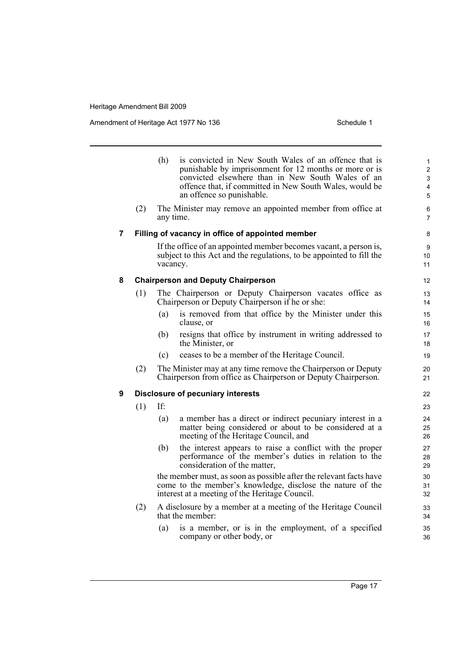Amendment of Heritage Act 1977 No 136 Schedule 1

|   |                                                  | (h)                                                                                                                                                                                | is convicted in New South Wales of an offence that is<br>punishable by imprisonment for 12 months or more or is<br>convicted elsewhere than in New South Wales of an<br>offence that, if committed in New South Wales, would be<br>an offence so punishable. | $\mathbf{1}$<br>$\overline{2}$<br>3<br>$\overline{\mathbf{4}}$<br>5 |  |  |  |
|---|--------------------------------------------------|------------------------------------------------------------------------------------------------------------------------------------------------------------------------------------|--------------------------------------------------------------------------------------------------------------------------------------------------------------------------------------------------------------------------------------------------------------|---------------------------------------------------------------------|--|--|--|
|   | (2)                                              | any time.                                                                                                                                                                          | The Minister may remove an appointed member from office at                                                                                                                                                                                                   | 6<br>$\overline{7}$                                                 |  |  |  |
| 7 | Filling of vacancy in office of appointed member |                                                                                                                                                                                    |                                                                                                                                                                                                                                                              |                                                                     |  |  |  |
|   |                                                  | If the office of an appointed member becomes vacant, a person is,<br>subject to this Act and the regulations, to be appointed to fill the<br>vacancy.                              |                                                                                                                                                                                                                                                              |                                                                     |  |  |  |
| 8 |                                                  |                                                                                                                                                                                    | <b>Chairperson and Deputy Chairperson</b>                                                                                                                                                                                                                    | 12                                                                  |  |  |  |
|   | (1)                                              |                                                                                                                                                                                    | The Chairperson or Deputy Chairperson vacates office as<br>Chairperson or Deputy Chairperson if he or she:                                                                                                                                                   | 13<br>14                                                            |  |  |  |
|   |                                                  | (a)                                                                                                                                                                                | is removed from that office by the Minister under this<br>clause, or                                                                                                                                                                                         | 15<br>16                                                            |  |  |  |
|   |                                                  | (b)                                                                                                                                                                                | resigns that office by instrument in writing addressed to<br>the Minister, or                                                                                                                                                                                | 17<br>18                                                            |  |  |  |
|   |                                                  | (c)                                                                                                                                                                                | ceases to be a member of the Heritage Council.                                                                                                                                                                                                               | 19                                                                  |  |  |  |
|   | (2)                                              | The Minister may at any time remove the Chairperson or Deputy<br>20<br>Chairperson from office as Chairperson or Deputy Chairperson.<br>21                                         |                                                                                                                                                                                                                                                              |                                                                     |  |  |  |
| 9 | <b>Disclosure of pecuniary interests</b>         |                                                                                                                                                                                    |                                                                                                                                                                                                                                                              |                                                                     |  |  |  |
|   | (1)                                              | If:                                                                                                                                                                                |                                                                                                                                                                                                                                                              | 23                                                                  |  |  |  |
|   |                                                  | (a)                                                                                                                                                                                | a member has a direct or indirect pecuniary interest in a<br>matter being considered or about to be considered at a<br>meeting of the Heritage Council, and                                                                                                  | 24<br>25<br>26                                                      |  |  |  |
|   |                                                  | (b)                                                                                                                                                                                | the interest appears to raise a conflict with the proper<br>performance of the member's duties in relation to the<br>consideration of the matter,                                                                                                            | 27<br>28<br>29                                                      |  |  |  |
|   |                                                  | the member must, as soon as possible after the relevant facts have<br>come to the member's knowledge, disclose the nature of the<br>interest at a meeting of the Heritage Council. |                                                                                                                                                                                                                                                              |                                                                     |  |  |  |
|   | (2)                                              |                                                                                                                                                                                    | A disclosure by a member at a meeting of the Heritage Council<br>that the member:                                                                                                                                                                            | 33<br>34                                                            |  |  |  |
|   |                                                  | (a)                                                                                                                                                                                | is a member, or is in the employment, of a specified<br>company or other body, or                                                                                                                                                                            | 35<br>36                                                            |  |  |  |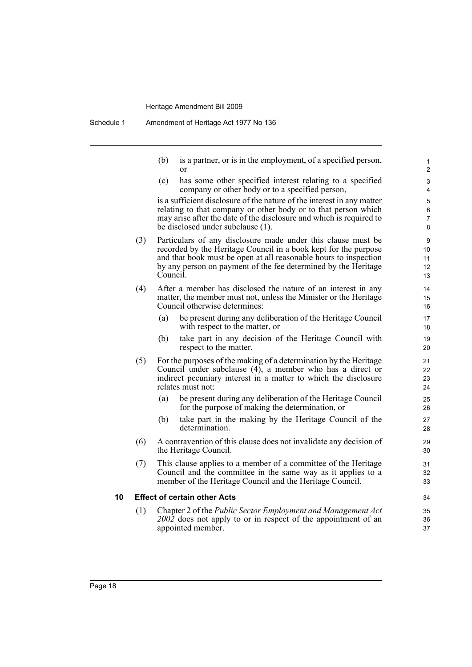(b) is a partner, or is in the employment, of a specified person, or

(c) has some other specified interest relating to a specified company or other body or to a specified person,

is a sufficient disclosure of the nature of the interest in any matter relating to that company or other body or to that person which may arise after the date of the disclosure and which is required to be disclosed under subclause (1).

- (3) Particulars of any disclosure made under this clause must be recorded by the Heritage Council in a book kept for the purpose and that book must be open at all reasonable hours to inspection by any person on payment of the fee determined by the Heritage Council.
- (4) After a member has disclosed the nature of an interest in any matter, the member must not, unless the Minister or the Heritage Council otherwise determines:
	- (a) be present during any deliberation of the Heritage Council with respect to the matter, or
	- (b) take part in any decision of the Heritage Council with respect to the matter.
- (5) For the purposes of the making of a determination by the Heritage Council under subclause (4), a member who has a direct or indirect pecuniary interest in a matter to which the disclosure relates must not:
	- (a) be present during any deliberation of the Heritage Council for the purpose of making the determination, or
	- (b) take part in the making by the Heritage Council of the determination.
- (6) A contravention of this clause does not invalidate any decision of the Heritage Council.
- (7) This clause applies to a member of a committee of the Heritage Council and the committee in the same way as it applies to a member of the Heritage Council and the Heritage Council.

#### **10 Effect of certain other Acts**

(1) Chapter 2 of the *Public Sector Employment and Management Act 2002* does not apply to or in respect of the appointment of an appointed member.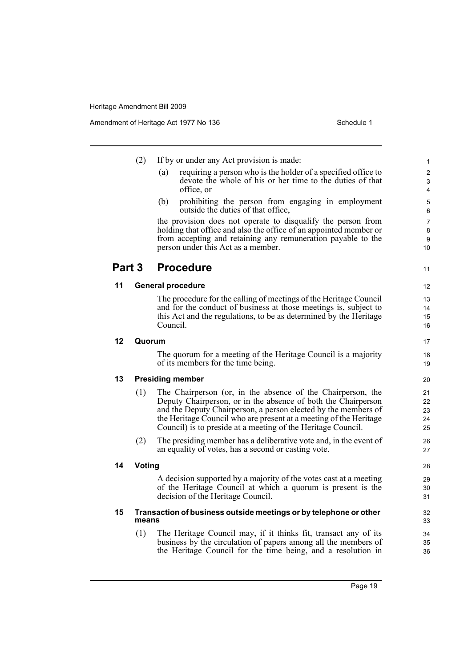|        | (2)                                                                        | If by or under any Act provision is made:                                                                                                                                                                                                                                                                                           | 1                          |  |  |
|--------|----------------------------------------------------------------------------|-------------------------------------------------------------------------------------------------------------------------------------------------------------------------------------------------------------------------------------------------------------------------------------------------------------------------------------|----------------------------|--|--|
|        |                                                                            | requiring a person who is the holder of a specified office to<br>(a)<br>devote the whole of his or her time to the duties of that<br>office, or                                                                                                                                                                                     | $\overline{2}$<br>3<br>4   |  |  |
|        |                                                                            | prohibiting the person from engaging in employment<br>(b)<br>outside the duties of that office,                                                                                                                                                                                                                                     | 5<br>6                     |  |  |
|        |                                                                            | the provision does not operate to disqualify the person from<br>holding that office and also the office of an appointed member or<br>from accepting and retaining any remuneration payable to the<br>person under this Act as a member.                                                                                             | 7<br>8<br>9<br>10          |  |  |
| Part 3 |                                                                            | <b>Procedure</b>                                                                                                                                                                                                                                                                                                                    | 11                         |  |  |
| 11     | <b>General procedure</b>                                                   |                                                                                                                                                                                                                                                                                                                                     | 12                         |  |  |
|        |                                                                            | The procedure for the calling of meetings of the Heritage Council<br>and for the conduct of business at those meetings is, subject to<br>this Act and the regulations, to be as determined by the Heritage<br>Council.                                                                                                              | 13<br>14<br>15<br>16       |  |  |
| 12     | Quorum                                                                     |                                                                                                                                                                                                                                                                                                                                     |                            |  |  |
|        |                                                                            | The quorum for a meeting of the Heritage Council is a majority<br>of its members for the time being.                                                                                                                                                                                                                                | 18<br>19                   |  |  |
| 13     |                                                                            | <b>Presiding member</b>                                                                                                                                                                                                                                                                                                             | 20                         |  |  |
|        | (1)                                                                        | The Chairperson (or, in the absence of the Chairperson, the<br>Deputy Chairperson, or in the absence of both the Chairperson<br>and the Deputy Chairperson, a person elected by the members of<br>the Heritage Council who are present at a meeting of the Heritage<br>Council) is to preside at a meeting of the Heritage Council. | 21<br>22<br>23<br>24<br>25 |  |  |
|        | (2)                                                                        | The presiding member has a deliberative vote and, in the event of<br>an equality of votes, has a second or casting vote.                                                                                                                                                                                                            | 26<br>27                   |  |  |
| 14     | Voting                                                                     |                                                                                                                                                                                                                                                                                                                                     |                            |  |  |
|        |                                                                            | A decision supported by a majority of the votes cast at a meeting<br>of the Heritage Council at which a quorum is present is the<br>decision of the Heritage Council.                                                                                                                                                               | 29<br>30<br>31             |  |  |
| 15     | Transaction of business outside meetings or by telephone or other<br>means |                                                                                                                                                                                                                                                                                                                                     |                            |  |  |
|        | (1)                                                                        | The Heritage Council may, if it thinks fit, transact any of its<br>business by the circulation of papers among all the members of<br>the Heritage Council for the time being, and a resolution in                                                                                                                                   | 34<br>35<br>36             |  |  |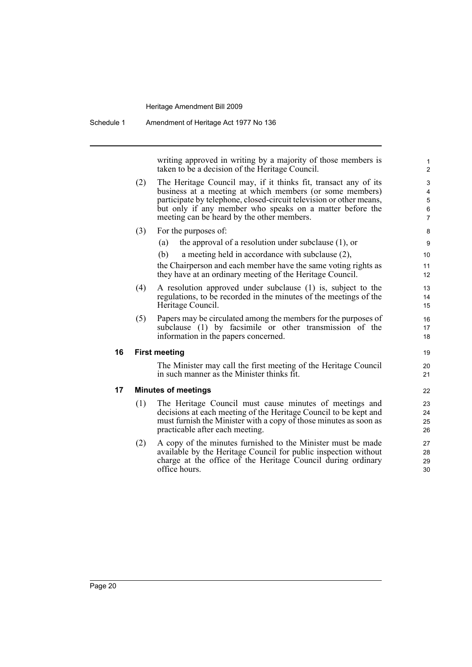Schedule 1 Amendment of Heritage Act 1977 No 136

writing approved in writing by a majority of those members is taken to be a decision of the Heritage Council.

19 20 21

- (2) The Heritage Council may, if it thinks fit, transact any of its business at a meeting at which members (or some members) participate by telephone, closed-circuit television or other means, but only if any member who speaks on a matter before the meeting can be heard by the other members. (3) For the purposes of:
	- (a) the approval of a resolution under subclause (1), or
	- (b) a meeting held in accordance with subclause (2),

the Chairperson and each member have the same voting rights as they have at an ordinary meeting of the Heritage Council.

- (4) A resolution approved under subclause (1) is, subject to the regulations, to be recorded in the minutes of the meetings of the Heritage Council.
- (5) Papers may be circulated among the members for the purposes of subclause (1) by facsimile or other transmission of the information in the papers concerned.

#### **16 First meeting**

The Minister may call the first meeting of the Heritage Council in such manner as the Minister thinks fit.

#### **17 Minutes of meetings**

- (1) The Heritage Council must cause minutes of meetings and decisions at each meeting of the Heritage Council to be kept and must furnish the Minister with a copy of those minutes as soon as practicable after each meeting.
- (2) A copy of the minutes furnished to the Minister must be made available by the Heritage Council for public inspection without charge at the office of the Heritage Council during ordinary office hours.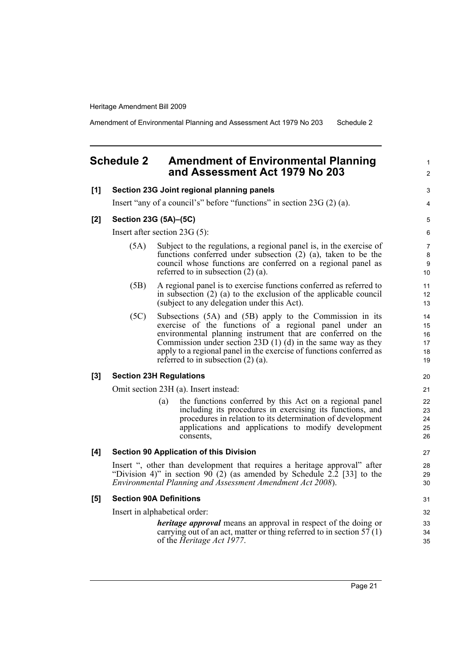Amendment of Environmental Planning and Assessment Act 1979 No 203 Schedule 2

## <span id="page-28-0"></span>**Schedule 2 Amendment of Environmental Planning and Assessment Act 1979 No 203**

#### **[1] Section 23G Joint regional planning panels**

Insert "any of a council's" before "functions" in section 23G (2) (a).

#### **[2] Section 23G (5A)–(5C)**

Insert after section 23G (5):

- (5A) Subject to the regulations, a regional panel is, in the exercise of functions conferred under subsection (2) (a), taken to be the council whose functions are conferred on a regional panel as referred to in subsection (2) (a).
- (5B) A regional panel is to exercise functions conferred as referred to in subsection (2) (a) to the exclusion of the applicable council (subject to any delegation under this Act).
- (5C) Subsections (5A) and (5B) apply to the Commission in its exercise of the functions of a regional panel under an environmental planning instrument that are conferred on the Commission under section 23D (1) (d) in the same way as they apply to a regional panel in the exercise of functions conferred as referred to in subsection (2) (a).

#### **[3] Section 23H Regulations**

Omit section 23H (a). Insert instead:

(a) the functions conferred by this Act on a regional panel including its procedures in exercising its functions, and procedures in relation to its determination of development applications and applications to modify development consents,

#### **[4] Section 90 Application of this Division**

Insert ", other than development that requires a heritage approval" after "Division 4)" in section 90 (2) (as amended by Schedule  $2.\overline{2}$  [33] to the *Environmental Planning and Assessment Amendment Act 2008*).

#### **[5] Section 90A Definitions**

Insert in alphabetical order:

*heritage approval* means an approval in respect of the doing or carrying out of an act, matter or thing referred to in section  $57(1)$ of the *Heritage Act 1977*.

Page 21

1  $\mathfrak{p}$ 

3 4